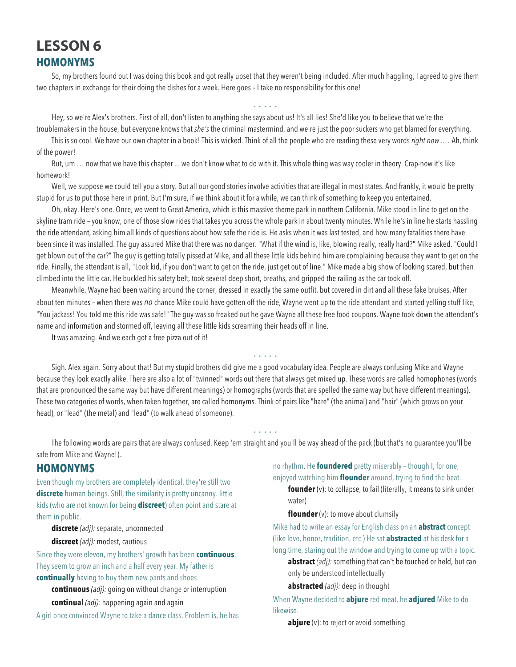## **LESSON 6 HOMONYMS**

So, my brothers found out I was doing this book and got really upset that they weren't being included. After much haggling, I agreed to give them two chapters in exchange for their doing the dishes for a week. Here goes – I take no responsibility for this one!

. . . . .

Hey, so we're Alex's brothers. First of all, don't listen to anything she says about us! It's all lies! She'd like you to believe that we're the troublemakers in the house, but everyone knows that *she's* the criminal mastermind, and we're just the poor suckers who get blamed for everything.

This is so cool. We have our own chapter in a book! This is wicked. Think of all the people who are reading these very words *right now .…* Ah, think of the power!

But, um … now that we have this chapter ... we don't know what to do with it. This whole thing was way cooler in theory. Crap-now it's like homework!

Well, we suppose we could tell you a story. But all our good stories involve activities that are illegal in most states. And frankly, it would be pretty stupid for us to put those here in print. But I'm sure, if we think about it for a while, we can think of something to keep you entertained.

Oh, okay. Here's one. Once, we went to Great America, which is this massive theme park in northern California. Mike stood in line to get on the skyline tram ride – you know, one of those slow rides that takes you across the whole park in about twenty minutes. While he's in line he starts hassling the ride attendant, asking him all kinds of questions about how safe the ride is. He asks when it was last tested, and how many fatalities there have been since it was installed. The guy assured Mike that there was no danger. "What if the wind is, like, blowing really, really hard?" Mike asked. "Could I get blown out of the car?" The guy is getting totally pissed at Mike, and all these little kids behind him are complaining because they want to get on the ride. Finally, the attendant is all, "Look kid, if you don't want to get on the ride, just get out of line." Mike made a big show of looking scared, but then climbed into the little car. He buckled his safety belt, took several deep short, breaths, and gripped the railing as the car took off.

Meanwhile, Wayne had been waiting around the corner, dressed in exactly the same outfit, but covered in dirt and all these fake bruises. After about ten minutes – when there was *no* chance Mike could have gotten off the ride, Wayne went up to the ride attendant and started yelling stuff like, "You jackass! You told me this ride was safe!" The guy was so freaked out he gave Wayne all these free food coupons. Wayne took down the attendant's name and information and stormed off, leaving all these little kids screaming their heads off in line.

It was amazing. And we each got a free pizza out of it!

Sigh. Alex again. Sorry about that! But my stupid brothers did give me a good vocabulary idea. People are always confusing Mike and Wayne because they look exactly alike. There are also a lot of "twinned" words out there that always get mixed up. These words are called homophones (words that are pronounced the same way but have different meanings) or homographs (words that are spelled the same way but have different meanings). These two categories of words, when taken together, are called homonyms. Think of pairs like "hare" (the animal) and "hair" (which grows on your head), or "lead" (the metal) and "lead" (to walk ahead of someone).

. . . . .

The following words are pairs that are always confused. Keep 'em straight and you'll be way ahead of the pack (but that's no guarantee you'll be safe from Mike and Wayne!)..

. . . . .

## **HOMONYMS**

Even though my brothers are completely identical, they're still two **discrete** human beings. Still, the similarity is pretty uncanny. little kids (who are not known for being **discreet**) often point and stare at them in public.

**discrete** *(adj):* separate, unconnected

**discreet** *(adj):* modest, cautious

Since they were eleven, my brothers' growth has been **continuous**. They seem to grow an inch and a half every year. My father is **continually** having to buy them new pants and shoes.

**continuous** *(adj):* going on without change or interruption **continual** *(adj):* happening again and again

A girl once convinced Wayne to take a dance class. Problem is, he has

no rhythm. He **foundered** pretty miserably – though I, for one, enjoyed watching him **flounder** around, trying to find the beat.

**founder** (v): to collapse, to fail (literally, it means to sink under water)

**flounder** (v): to move about clumsily

Mike had to write an essay for English class on an **abstract** concept (like love, honor, tradition, etc.) He sat **abstracted** at his desk for a long time, staring out the window and trying to come up with a topic.

**abstract** *(adj):* something that can't be touched or held, but can only be understood intellectually

**abstracted** *(adj):* deep in thought

When Wayne decided to **abjure** red meat, he **adjured** Mike to do likewise.

**abjure** (v): to reject or avoid something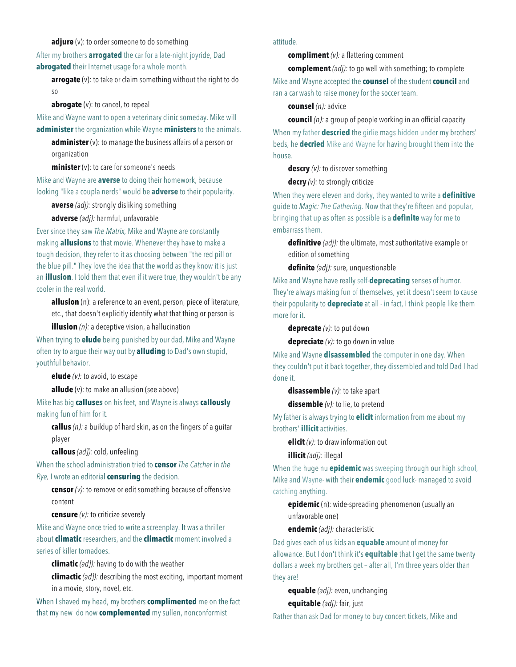## **adjure** (v): to order someone to do something

After my brothers **arrogated** the car for a late-night joyride, Dad **abrogated** their Internet usage for a whole month.

**arrogate** (v): to take or claim something without the right to do so

**abrogate** (v): to cancel, to repeal

Mike and Wayne want to open a veterinary clinic someday. Mike will **administer** the organization while Wayne **ministers** to the animals.

**administer** (v): to manage the business affairs of a person or organization

**minister** (v): to care for someone's needs

Mike and Wayne are **averse** to doing their homework, because looking "like a coupla nerds" would be **adverse** to their popularity.

**averse** *(adj):* strongly disliking something

**adverse** *(adj):* harmful, unfavorable

Ever since they saw *The Matrix,* Mike and Wayne are constantly making **allusions** to that movie. Whenever they have to make a tough decision, they refer to it as choosing between "the red pill or the blue pill." They love the idea that the world as they know it is just an **illusion**. I told them that even if it were true, they wouldn't be any cooler in the real world.

**allusion** (n): a reference to an event, person, piece of literature, etc., that doesn't explicitly identify what that thing or person is

**illusion** *(n):* a deceptive vision, a hallucination

When trying to **elude** being punished by our dad, Mike and Wayne often try to argue their way out by **alluding** to Dad's own stupid, youthful behavior.

**elude** *(v):* to avoid, to escape

**allude** (v): to make an allusion (see above)

Mike has big **calluses** on his feet, and Wayne is always **callously** making fun of him for it.

**callus** *(n):* a buildup of hard skin, as on the fingers of a guitar player

**callous** *(ad]):* cold, unfeeling

When the school administration tried to **censor** *The Catcher* in *the Rye,* I wrote an editorial **censuring** the decision.

**censor** *(v):* to remove or edit something because of offensive content

**censure** *(v):* to criticize severely

Mike and Wayne once tried to write a screenplay. It was a thriller about **climatic** researchers, and the **climactic** moment involved a series of killer tornadoes.

**climatic** *(ad]):* having to do with the weather

**climactic** *(ad]):* describing the most exciting, important moment in a movie, story, novel, etc.

When I shaved my head, my brothers **complimented** me on the fact that my new 'do now **complemented** my sullen, nonconformist

attitude.

**compliment** *(v):* a flattering comment

**complement** *(adj):* to go well with something; to complete Mike and Wayne accepted the **counsel** of the student **council** and ran a car wash to raise money for the soccer team.

**counsel** *(n):* advice

**council** *(n):* a group of people working in an official capacity When my father **descried** the girlie mags hidden under my brothers' beds, he **decried** Mike and Wayne for having brought them into the house.

**descry** *(v):* to discover something

**decry** *(v):* to strongly criticize

When they were eleven and dorky, they wanted to write a **definitive** guide to *Magic: The Gathering*. Now that they're fifteen and popular, bringing that up as often as possible is a **definite** way for me to embarrass them.

**definitive** *(adj):* the ultimate, most authoritative example or edition of something

**definite** *(adj):* sure, unquestionable

Mike and Wayne have really self-**deprecating** senses of humor. They're always making fun of themselves, yet it doesn't seem to cause their popularity to **depreciate** at all - in fact, I think people like them more for it.

**deprecate** *(v):* to put down

**depreciate** *(v):* to go down in value

Mike and Wayne **disassembled** the computer in one day. When they couldn't put it back together, they dissembled and told Dad I had done it.

**disassemble** *(v):* to take apart

**dissemble** *(v):* to lie, to pretend

My father is always trying to **elicit** information from me about my brothers' **illicit** activities.

**elicit** *(v):* to draw information out **illicit** *(adj):* illegal

When the huge nu **epidemic** was sweeping through our high school, Mike and Wayne- with their **endemic** good luck- managed to avoid catching anything.

**epidemic** (n): wide-spreading phenomenon (usually an unfavorable one)

**endemic** *(adj):* characteristic

Dad gives each of us kids an **equable** amount of money for allowance. But I don't think it's **equitable** that I get the same twenty dollars a week my brothers get – after all, I'm three years older than they are!

**equable** *(adj):* even, unchanging

**equitable** *(adj):* fair, just

Rather than ask Dad for money to buy concert tickets, Mike and